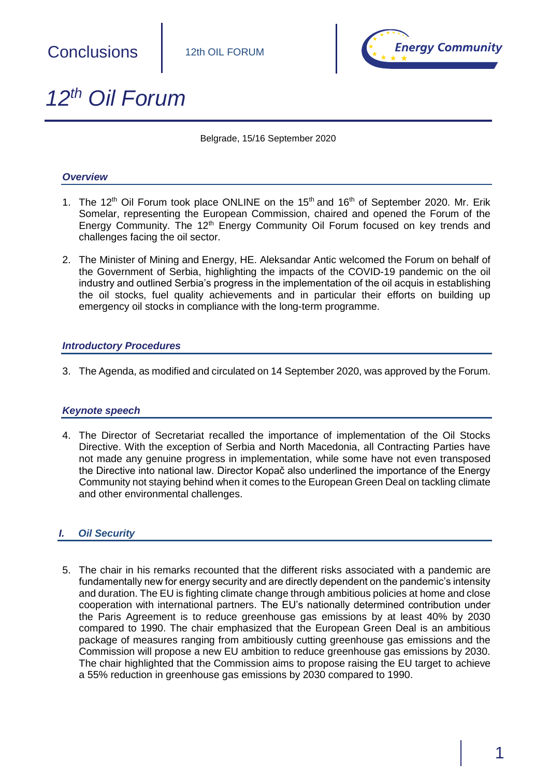

# *12 th Oil Forum*

Belgrade, 15/16 September 2020

### *Overview*

- 1. The 12<sup>th</sup> Oil Forum took place ONLINE on the 15<sup>th</sup> and 16<sup>th</sup> of September 2020. Mr. Erik Somelar, representing the European Commission, chaired and opened the Forum of the Energy Community. The 12<sup>th</sup> Energy Community Oil Forum focused on key trends and challenges facing the oil sector.
- 2. The Minister of Mining and Energy, HE. Aleksandar Antic welcomed the Forum on behalf of the Government of Serbia, highlighting the impacts of the COVID-19 pandemic on the oil industry and outlined Serbia's progress in the implementation of the oil acquis in establishing the oil stocks, fuel quality achievements and in particular their efforts on building up emergency oil stocks in compliance with the long-term programme.

### *Introductory Procedures*

3. The Agenda, as modified and circulated on 14 September 2020, was approved by the Forum.

#### *Keynote speech*

4. The Director of Secretariat recalled the importance of implementation of the Oil Stocks Directive. With the exception of Serbia and North Macedonia, all Contracting Parties have not made any genuine progress in implementation, while some have not even transposed the Directive into national law. Director Kopač also underlined the importance of the Energy Community not staying behind when it comes to the European Green Deal on tackling climate and other environmental challenges.

### *I. Oil Security*

5. The chair in his remarks recounted that the different risks associated with a pandemic are fundamentally new for energy security and are directly dependent on the pandemic's intensity and duration. The EU is fighting climate change through ambitious policies at home and close cooperation with international partners. The EU's nationally determined contribution under the Paris Agreement is to reduce greenhouse gas emissions by at least 40% by 2030 compared to 1990. The chair emphasized that the European Green Deal is an ambitious package of measures ranging from ambitiously cutting greenhouse gas emissions and the Commission will propose a new EU ambition to reduce greenhouse gas emissions by 2030. The chair highlighted that the Commission aims to propose raising the EU target to achieve a 55% reduction in greenhouse gas emissions by 2030 compared to 1990.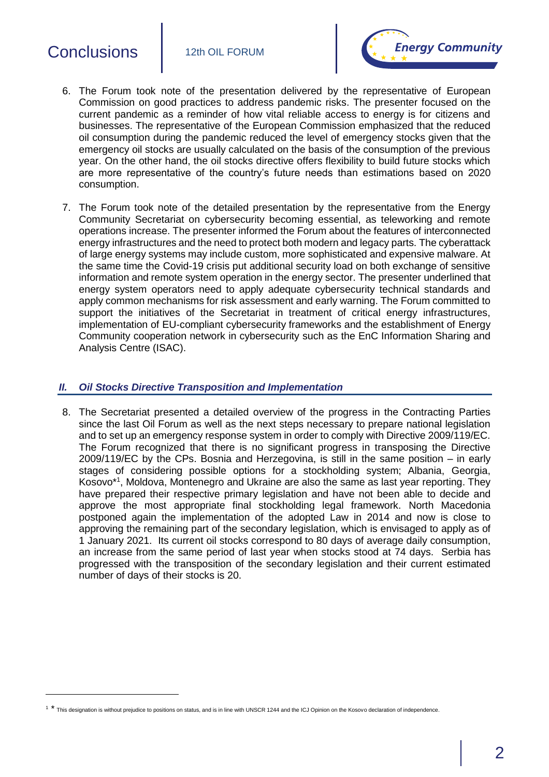### Conclusions | 12th OIL FORUM

 $\overline{a}$ 



- 6. The Forum took note of the presentation delivered by the representative of European Commission on good practices to address pandemic risks. The presenter focused on the current pandemic as a reminder of how vital reliable access to energy is for citizens and businesses. The representative of the European Commission emphasized that the reduced oil consumption during the pandemic reduced the level of emergency stocks given that the emergency oil stocks are usually calculated on the basis of the consumption of the previous year. On the other hand, the oil stocks directive offers flexibility to build future stocks which are more representative of the country's future needs than estimations based on 2020 consumption.
- 7. The Forum took note of the detailed presentation by the representative from the Energy Community Secretariat on cybersecurity becoming essential, as teleworking and remote operations increase. The presenter informed the Forum about the features of interconnected energy infrastructures and the need to protect both modern and legacy parts. The cyberattack of large energy systems may include custom, more sophisticated and expensive malware. At the same time the Covid-19 crisis put additional security load on both exchange of sensitive information and remote system operation in the energy sector. The presenter underlined that energy system operators need to apply adequate cybersecurity technical standards and apply common mechanisms for risk assessment and early warning. The Forum committed to support the initiatives of the Secretariat in treatment of critical energy infrastructures, implementation of EU-compliant cybersecurity frameworks and the establishment of Energy Community cooperation network in cybersecurity such as the EnC Information Sharing and Analysis Centre (ISAC).

### *II. Oil Stocks Directive Transposition and Implementation*

8. The Secretariat presented a detailed overview of the progress in the Contracting Parties since the last Oil Forum as well as the next steps necessary to prepare national legislation and to set up an emergency response system in order to comply with Directive 2009/119/EC. The Forum recognized that there is no significant progress in transposing the Directive 2009/119/EC by the CPs. Bosnia and Herzegovina, is still in the same position – in early stages of considering possible options for a stockholding system; Albania, Georgia, Kosovo\*<sup>1</sup>, Moldova, Montenegro and Ukraine are also the same as last year reporting. They have prepared their respective primary legislation and have not been able to decide and approve the most appropriate final stockholding legal framework. North Macedonia postponed again the implementation of the adopted Law in 2014 and now is close to approving the remaining part of the secondary legislation, which is envisaged to apply as of 1 January 2021. Its current oil stocks correspond to 80 days of average daily consumption, an increase from the same period of last year when stocks stood at 74 days. Serbia has progressed with the transposition of the secondary legislation and their current estimated number of days of their stocks is 20.

<sup>1</sup> \* This designation is without prejudice to positions on status, and is in line with UNSCR 1244 and the ICJ Opinion on the Kosovo declaration of independence.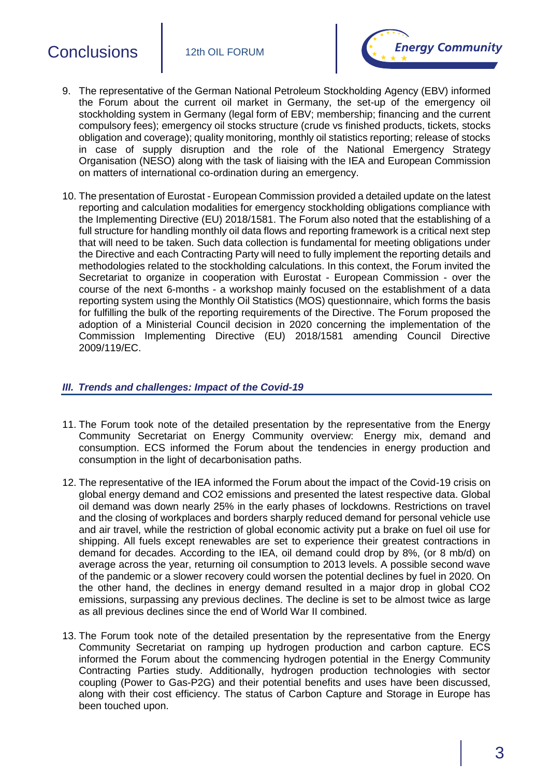## Conclusions | 12th OIL FORUM



- 9. The representative of the German National Petroleum Stockholding Agency (EBV) informed the Forum about the current oil market in Germany, the set-up of the emergency oil stockholding system in Germany (legal form of EBV; membership; financing and the current compulsory fees); emergency oil stocks structure (crude vs finished products, tickets, stocks obligation and coverage); quality monitoring, monthly oil statistics reporting; release of stocks in case of supply disruption and the role of the National Emergency Strategy Organisation (NESO) along with the task of liaising with the IEA and European Commission on matters of international co-ordination during an emergency.
- 10. The presentation of Eurostat European Commission provided a detailed update on the latest reporting and calculation modalities for emergency stockholding obligations compliance with the Implementing Directive (EU) 2018/1581. The Forum also noted that the establishing of a full structure for handling monthly oil data flows and reporting framework is a critical next step that will need to be taken. Such data collection is fundamental for meeting obligations under the Directive and each Contracting Party will need to fully implement the reporting details and methodologies related to the stockholding calculations. In this context, the Forum invited the Secretariat to organize in cooperation with Eurostat - European Commission - over the course of the next 6-months - a workshop mainly focused on the establishment of a data reporting system using the Monthly Oil Statistics (MOS) questionnaire, which forms the basis for fulfilling the bulk of the reporting requirements of the Directive. The Forum proposed the adoption of a Ministerial Council decision in 2020 concerning the implementation of the Commission Implementing Directive (EU) 2018/1581 amending Council Directive 2009/119/EC.

### *III. Trends and challenges: Impact of the Covid-19*

- 11. The Forum took note of the detailed presentation by the representative from the Energy Community Secretariat on Energy Community overview: Energy mix, demand and consumption. ECS informed the Forum about the tendencies in energy production and consumption in the light of decarbonisation paths.
- 12. The representative of the IEA informed the Forum about the impact of the Covid-19 crisis on global energy demand and CO2 emissions and presented the latest respective data. Global oil demand was down nearly 25% in the early phases of lockdowns. Restrictions on travel and the closing of workplaces and borders sharply reduced demand for personal vehicle use and air travel, while the restriction of global economic activity put a brake on fuel oil use for shipping. All fuels except renewables are set to experience their greatest contractions in demand for decades. According to the IEA, oil demand could drop by 8%, (or 8 mb/d) on average across the year, returning oil consumption to 2013 levels. A possible second wave of the pandemic or a slower recovery could worsen the potential declines by fuel in 2020. On the other hand, the declines in energy demand resulted in a major drop in global CO2 emissions, surpassing any previous declines. The decline is set to be almost twice as large as all previous declines since the end of World War II combined.
- 13. The Forum took note of the detailed presentation by the representative from the Energy Community Secretariat on ramping up hydrogen production and carbon capture. ECS informed the Forum about the commencing hydrogen potential in the Energy Community Contracting Parties study. Additionally, hydrogen production technologies with sector coupling (Power to Gas-P2G) and their potential benefits and uses have been discussed, along with their cost efficiency. The status of Carbon Capture and Storage in Europe has been touched upon.